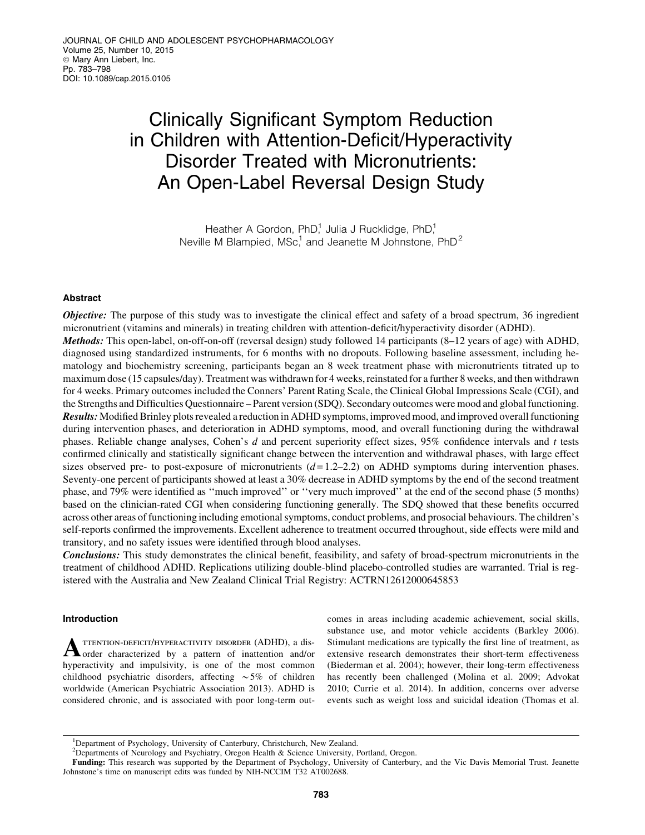# Clinically Significant Symptom Reduction in Children with Attention-Deficit/Hyperactivity Disorder Treated with Micronutrients: An Open-Label Reversal Design Study

Heather A Gordon,  $PhD<sup>1</sup>$ , Julia J Rucklidge,  $PhD<sup>1</sup>$ Neville M Blampied, MSc,<sup>1</sup> and Jeanette M Johnstone,  $PhD<sup>2</sup>$ 

## Abstract

**Objective:** The purpose of this study was to investigate the clinical effect and safety of a broad spectrum, 36 ingredient micronutrient (vitamins and minerals) in treating children with attention-deficit/hyperactivity disorder (ADHD). Methods: This open-label, on-off-on-off (reversal design) study followed 14 participants (8–12 years of age) with ADHD, diagnosed using standardized instruments, for 6 months with no dropouts. Following baseline assessment, including hematology and biochemistry screening, participants began an 8 week treatment phase with micronutrients titrated up to maximum dose (15 capsules/day). Treatment was withdrawn for 4 weeks, reinstated for a further 8 weeks, and then withdrawn for 4 weeks. Primary outcomes included the Conners' Parent Rating Scale, the Clinical Global Impressions Scale (CGI), and the Strengths and Difficulties Questionnaire – Parent version (SDQ). Secondary outcomes were mood and global functioning. Results: Modified Brinley plots revealed a reduction in ADHD symptoms, improved mood, and improved overall functioning during intervention phases, and deterioration in ADHD symptoms, mood, and overall functioning during the withdrawal phases. Reliable change analyses, Cohen's d and percent superiority effect sizes, 95% confidence intervals and t tests confirmed clinically and statistically significant change between the intervention and withdrawal phases, with large effect sizes observed pre- to post-exposure of micronutrients  $(d=1.2-2.2)$  on ADHD symptoms during intervention phases. Seventy-one percent of participants showed at least a 30% decrease in ADHD symptoms by the end of the second treatment phase, and 79% were identified as ''much improved'' or ''very much improved'' at the end of the second phase (5 months) based on the clinician-rated CGI when considering functioning generally. The SDQ showed that these benefits occurred across other areas of functioning including emotional symptoms, conduct problems, and prosocial behaviours. The children's self-reports confirmed the improvements. Excellent adherence to treatment occurred throughout, side effects were mild and transitory, and no safety issues were identified through blood analyses.

Conclusions: This study demonstrates the clinical benefit, feasibility, and safety of broad-spectrum micronutrients in the treatment of childhood ADHD. Replications utilizing double-blind placebo-controlled studies are warranted. Trial is registered with the Australia and New Zealand Clinical Trial Registry: ACTRN12612000645853

## Introduction

**A**TTENTION-DEFICIT/HYPERACTIVITY DISORDER (ADHD), a dis-<br>
order characterized by a pattern of inattention and/or hyperactivity and impulsivity, is one of the most common childhood psychiatric disorders, affecting  $\sim$  5% of children worldwide (American Psychiatric Association 2013). ADHD is considered chronic, and is associated with poor long-term outcomes in areas including academic achievement, social skills, substance use, and motor vehicle accidents (Barkley 2006). Stimulant medications are typically the first line of treatment, as extensive research demonstrates their short-term effectiveness (Biederman et al. 2004); however, their long-term effectiveness has recently been challenged (Molina et al. 2009; Advokat 2010; Currie et al. 2014). In addition, concerns over adverse events such as weight loss and suicidal ideation (Thomas et al.

<sup>&</sup>lt;sup>1</sup>Department of Psychology, University of Canterbury, Christchurch, New Zealand.

<sup>&</sup>lt;sup>2</sup>Departments of Neurology and Psychiatry, Oregon Health & Science University, Portland, Oregon.

Funding: This research was supported by the Department of Psychology, University of Canterbury, and the Vic Davis Memorial Trust. Jeanette Johnstone's time on manuscript edits was funded by NIH-NCCIM T32 AT002688.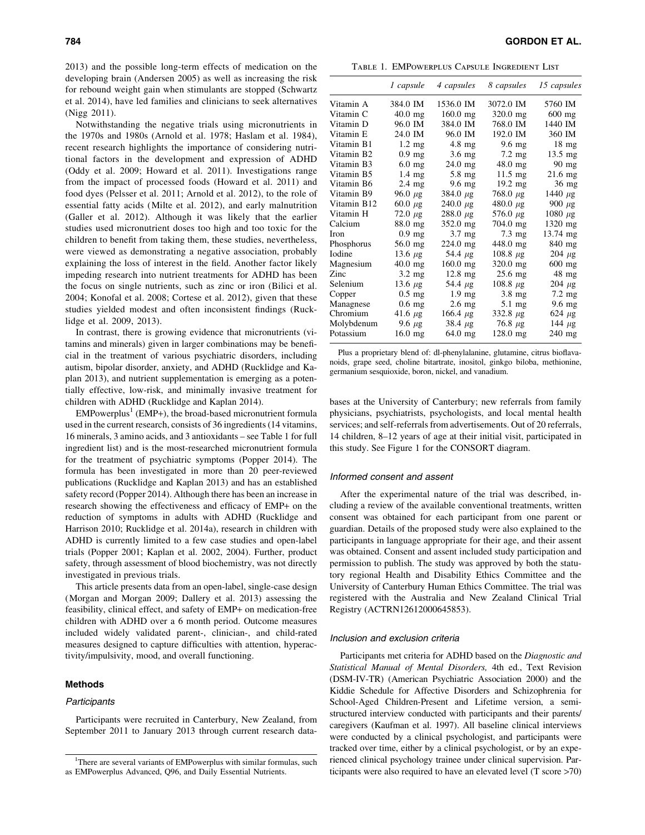2013) and the possible long-term effects of medication on the developing brain (Andersen 2005) as well as increasing the risk for rebound weight gain when stimulants are stopped (Schwartz et al. 2014), have led families and clinicians to seek alternatives (Nigg 2011).

Notwithstanding the negative trials using micronutrients in the 1970s and 1980s (Arnold et al. 1978; Haslam et al. 1984), recent research highlights the importance of considering nutritional factors in the development and expression of ADHD (Oddy et al. 2009; Howard et al. 2011). Investigations range from the impact of processed foods (Howard et al. 2011) and food dyes (Pelsser et al. 2011; Arnold et al. 2012), to the role of essential fatty acids (Milte et al. 2012), and early malnutrition (Galler et al. 2012). Although it was likely that the earlier studies used micronutrient doses too high and too toxic for the children to benefit from taking them, these studies, nevertheless, were viewed as demonstrating a negative association, probably explaining the loss of interest in the field. Another factor likely impeding research into nutrient treatments for ADHD has been the focus on single nutrients, such as zinc or iron (Bilici et al. 2004; Konofal et al. 2008; Cortese et al. 2012), given that these studies yielded modest and often inconsistent findings (Rucklidge et al. 2009, 2013).

In contrast, there is growing evidence that micronutrients (vitamins and minerals) given in larger combinations may be beneficial in the treatment of various psychiatric disorders, including autism, bipolar disorder, anxiety, and ADHD (Rucklidge and Kaplan 2013), and nutrient supplementation is emerging as a potentially effective, low-risk, and minimally invasive treatment for children with ADHD (Rucklidge and Kaplan 2014).

 $EMPowerplus<sup>1</sup>$  (EMP+), the broad-based micronutrient formula used in the current research, consists of 36 ingredients (14 vitamins, 16 minerals, 3 amino acids, and 3 antioxidants – see Table 1 for full ingredient list) and is the most-researched micronutrient formula for the treatment of psychiatric symptoms (Popper 2014). The formula has been investigated in more than 20 peer-reviewed publications (Rucklidge and Kaplan 2013) and has an established safety record (Popper 2014). Although there has been an increase in research showing the effectiveness and efficacy of EMP+ on the reduction of symptoms in adults with ADHD (Rucklidge and Harrison 2010; Rucklidge et al. 2014a), research in children with ADHD is currently limited to a few case studies and open-label trials (Popper 2001; Kaplan et al. 2002, 2004). Further, product safety, through assessment of blood biochemistry, was not directly investigated in previous trials.

This article presents data from an open-label, single-case design (Morgan and Morgan 2009; Dallery et al. 2013) assessing the feasibility, clinical effect, and safety of EMP+ on medication-free children with ADHD over a 6 month period. Outcome measures included widely validated parent-, clinician-, and child-rated measures designed to capture difficulties with attention, hyperactivity/impulsivity, mood, and overall functioning.

## Methods

## **Participants**

Participants were recruited in Canterbury, New Zealand, from September 2011 to January 2013 through current research data-

Table 1. EMPowerplus Capsule Ingredient List

|                        | 1 capsule        | 4 capsules         | 8 capsules        | 15 capsules       |
|------------------------|------------------|--------------------|-------------------|-------------------|
| Vitamin A              | 384.0 IM         | 1536.0 IM          | 3072.0 IM         | 5760 IM           |
| Vitamin C              | $40.0$ mg        | $160.0 \text{ mg}$ | 320.0 mg          | 600 mg            |
| Vitamin D              | 96.0 IM          | 384.0 IM           | 768.0 IM          | 1440 IM           |
| Vitamin E              | 24.0 IM          | 96.0 IM            | 192.0 IM          | 360 IM            |
| Vitamin B1             | $1.2 \text{ mg}$ | $4.8 \text{ mg}$   | $9.6 \text{ mg}$  | $18 \text{ mg}$   |
| Vitamin B <sub>2</sub> | $0.9$ mg         | $3.6$ mg           | $7.2 \text{ mg}$  | $13.5 \text{ mg}$ |
| Vitamin B3             | $6.0$ mg         | $24.0 \text{ mg}$  | $48.0 \text{ mg}$ | $90$ mg           |
| Vitamin B5             | $1.4 \text{ mg}$ | 5.8 mg             | $11.5 \text{ mg}$ | $21.6$ mg         |
| Vitamin B6             | $2.4 \text{ mg}$ | $9.6 \text{ mg}$   | $19.2 \text{ mg}$ | $36$ mg           |
| Vitamin B9             | 96.0 $\mu$ g     | 384.0 $\mu$ g      | $768.0 \ \mu g$   | 1440 $\mu$ g      |
| Vitamin B12            | $60.0 \mu g$     | $240.0 \mu$ g      | 480.0 $\mu$ g     | 900 $\mu$ g       |
| Vitamin H              | $72.0 \ \mu g$   | $288.0 \mu g$      | $576.0 \mu$ g     | 1080 $\mu$ g      |
| Calcium                | 88.0 mg          | 352.0 mg           | 704.0 mg          | 1320 mg           |
| <b>Iron</b>            | $0.9$ mg         | $3.7 \text{ mg}$   | $7.3 \text{ mg}$  | 13.74 mg          |
| Phosphorus             | 56.0 mg          | $224.0 \text{ mg}$ | 448.0 mg          | 840 mg            |
| <b>I</b> odine         | 13.6 $\mu$ g     | 54.4 $\mu$ g       | 108.8 $\mu$ g     | $204 \mu$ g       |
| Magnesium              | $40.0$ mg        | $160.0 \text{ mg}$ | 320.0 mg          | $600$ mg          |
| Zinc                   | $3.2 \text{ mg}$ | $12.8$ mg          | $25.6$ mg         | $48 \text{ mg}$   |
| Selenium               | 13.6 $\mu$ g     | 54.4 $\mu$ g       | 108.8 $\mu$ g     | $204 \mu g$       |
| Copper                 | $0.5$ mg         | $1.9 \text{ mg}$   | $3.8 \text{ mg}$  | $7.2 \text{ mg}$  |
| Managnese              | $0.6$ mg         | $2.6$ mg           | $5.1$ mg          | $9.6 \text{ mg}$  |
| Chromium               | 41.6 $\mu$ g     | 166.4 $\mu$ g      | 332.8 $\mu$ g     | $624 \mu$ g       |
| Molybdenum             | 9.6 $\mu$ g      | 38.4 $\mu$ g       | 76.8 $\mu$ g      | 144 $\mu$ g       |
| Potassium              | 16.0 mg          | 64.0 mg            | 128.0 mg          | 240 mg            |

Plus a proprietary blend of: dl-phenylalanine, glutamine, citrus bioflavanoids, grape seed, choline bitartrate, inositol, ginkgo biloba, methionine, germanium sesquioxide, boron, nickel, and vanadium.

bases at the University of Canterbury; new referrals from family physicians, psychiatrists, psychologists, and local mental health services; and self-referrals from advertisements. Out of 20 referrals, 14 children, 8–12 years of age at their initial visit, participated in this study. See Figure 1 for the CONSORT diagram.

#### Informed consent and assent

After the experimental nature of the trial was described, including a review of the available conventional treatments, written consent was obtained for each participant from one parent or guardian. Details of the proposed study were also explained to the participants in language appropriate for their age, and their assent was obtained. Consent and assent included study participation and permission to publish. The study was approved by both the statutory regional Health and Disability Ethics Committee and the University of Canterbury Human Ethics Committee. The trial was registered with the Australia and New Zealand Clinical Trial Registry (ACTRN12612000645853).

# Inclusion and exclusion criteria

Participants met criteria for ADHD based on the Diagnostic and Statistical Manual of Mental Disorders, 4th ed., Text Revision (DSM-IV-TR) (American Psychiatric Association 2000) and the Kiddie Schedule for Affective Disorders and Schizophrenia for School-Aged Children-Present and Lifetime version, a semistructured interview conducted with participants and their parents/ caregivers (Kaufman et al. 1997). All baseline clinical interviews were conducted by a clinical psychologist, and participants were tracked over time, either by a clinical psychologist, or by an experienced clinical psychology trainee under clinical supervision. Participants were also required to have an elevated level (T score >70)

<sup>&</sup>lt;sup>1</sup>There are several variants of EMPowerplus with similar formulas, such as EMPowerplus Advanced, Q96, and Daily Essential Nutrients.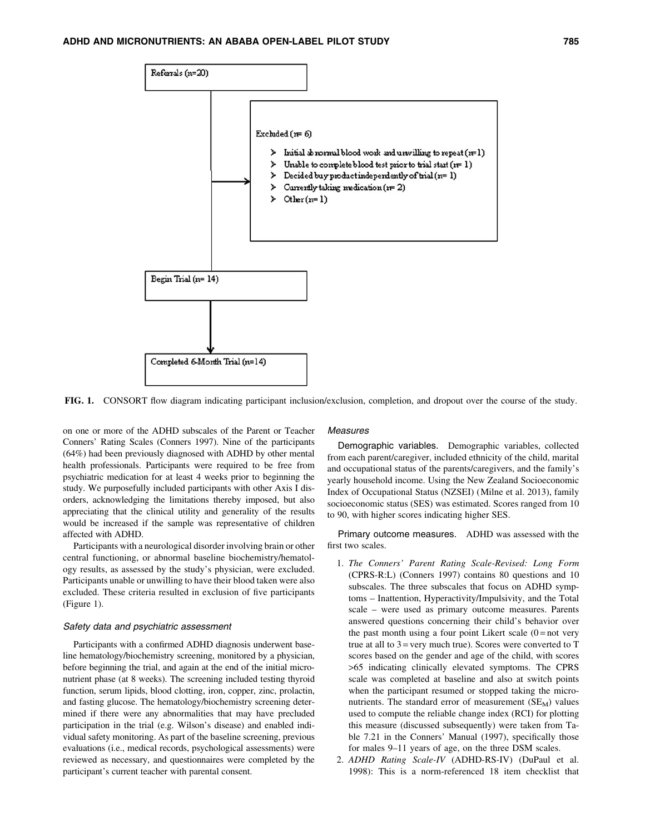

FIG. 1. CONSORT flow diagram indicating participant inclusion/exclusion, completion, and dropout over the course of the study.

on one or more of the ADHD subscales of the Parent or Teacher Conners' Rating Scales (Conners 1997). Nine of the participants (64%) had been previously diagnosed with ADHD by other mental health professionals. Participants were required to be free from psychiatric medication for at least 4 weeks prior to beginning the study. We purposefully included participants with other Axis I disorders, acknowledging the limitations thereby imposed, but also appreciating that the clinical utility and generality of the results would be increased if the sample was representative of children affected with ADHD.

Participants with a neurological disorder involving brain or other central functioning, or abnormal baseline biochemistry/hematology results, as assessed by the study's physician, were excluded. Participants unable or unwilling to have their blood taken were also excluded. These criteria resulted in exclusion of five participants (Figure 1).

## Safety data and psychiatric assessment

Participants with a confirmed ADHD diagnosis underwent baseline hematology/biochemistry screening, monitored by a physician, before beginning the trial, and again at the end of the initial micronutrient phase (at 8 weeks). The screening included testing thyroid function, serum lipids, blood clotting, iron, copper, zinc, prolactin, and fasting glucose. The hematology/biochemistry screening determined if there were any abnormalities that may have precluded participation in the trial (e.g. Wilson's disease) and enabled individual safety monitoring. As part of the baseline screening, previous evaluations (i.e., medical records, psychological assessments) were reviewed as necessary, and questionnaires were completed by the participant's current teacher with parental consent.

#### **Measures**

Demographic variables. Demographic variables, collected from each parent/caregiver, included ethnicity of the child, marital and occupational status of the parents/caregivers, and the family's yearly household income. Using the New Zealand Socioeconomic Index of Occupational Status (NZSEI) (Milne et al. 2013), family socioeconomic status (SES) was estimated. Scores ranged from 10 to 90, with higher scores indicating higher SES.

Primary outcome measures. ADHD was assessed with the first two scales.

- 1. The Conners' Parent Rating Scale-Revised: Long Form (CPRS-R:L) (Conners 1997) contains 80 questions and 10 subscales. The three subscales that focus on ADHD symptoms – Inattention, Hyperactivity/Impulsivity, and the Total scale – were used as primary outcome measures. Parents answered questions concerning their child's behavior over the past month using a four point Likert scale  $(0 = not$  very true at all to  $3 = \text{very much true}$ . Scores were converted to T scores based on the gender and age of the child, with scores >65 indicating clinically elevated symptoms. The CPRS scale was completed at baseline and also at switch points when the participant resumed or stopped taking the micronutrients. The standard error of measurement  $(SE_M)$  values used to compute the reliable change index (RCI) for plotting this measure (discussed subsequently) were taken from Table 7.21 in the Conners' Manual (1997), specifically those for males 9–11 years of age, on the three DSM scales.
- 2. ADHD Rating Scale-IV (ADHD-RS-IV) (DuPaul et al. 1998): This is a norm-referenced 18 item checklist that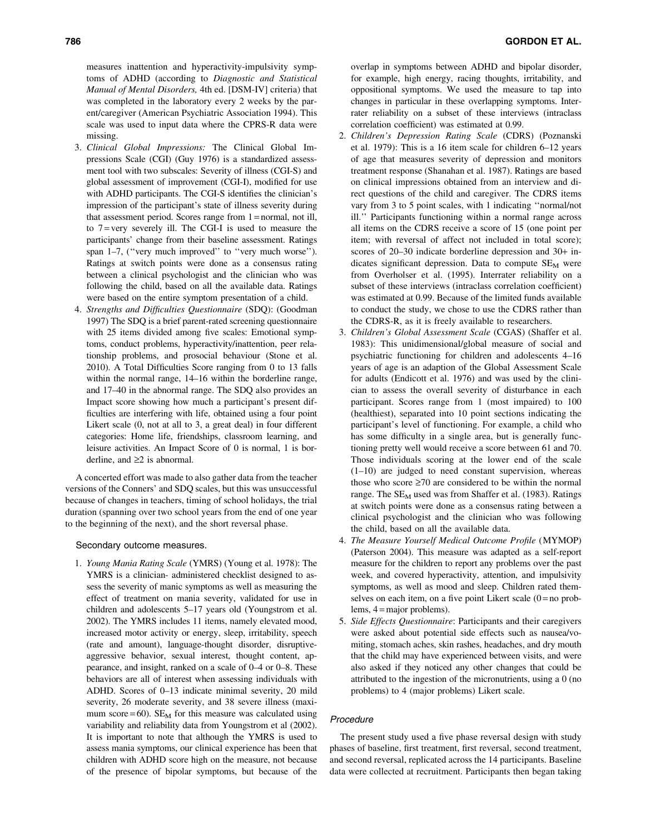measures inattention and hyperactivity-impulsivity symptoms of ADHD (according to Diagnostic and Statistical Manual of Mental Disorders, 4th ed. [DSM-IV] criteria) that was completed in the laboratory every 2 weeks by the parent/caregiver (American Psychiatric Association 1994). This scale was used to input data where the CPRS-R data were missing.

- 3. Clinical Global Impressions: The Clinical Global Impressions Scale (CGI) (Guy 1976) is a standardized assessment tool with two subscales: Severity of illness (CGI-S) and global assessment of improvement (CGI-I), modified for use with ADHD participants. The CGI-S identifies the clinician's impression of the participant's state of illness severity during that assessment period. Scores range from  $1 = normal$ , not ill, to 7 = very severely ill. The CGI-I is used to measure the participants' change from their baseline assessment. Ratings span 1–7, ("very much improved" to "very much worse"). Ratings at switch points were done as a consensus rating between a clinical psychologist and the clinician who was following the child, based on all the available data. Ratings were based on the entire symptom presentation of a child.
- 4. Strengths and Difficulties Questionnaire (SDQ): (Goodman 1997) The SDQ is a brief parent-rated screening questionnaire with 25 items divided among five scales: Emotional symptoms, conduct problems, hyperactivity/inattention, peer relationship problems, and prosocial behaviour (Stone et al. 2010). A Total Difficulties Score ranging from 0 to 13 falls within the normal range, 14–16 within the borderline range, and 17–40 in the abnormal range. The SDQ also provides an Impact score showing how much a participant's present difficulties are interfering with life, obtained using a four point Likert scale (0, not at all to 3, a great deal) in four different categories: Home life, friendships, classroom learning, and leisure activities. An Impact Score of 0 is normal, 1 is borderline, and  $\geq 2$  is abnormal.

A concerted effort was made to also gather data from the teacher versions of the Conners' and SDQ scales, but this was unsuccessful because of changes in teachers, timing of school holidays, the trial duration (spanning over two school years from the end of one year to the beginning of the next), and the short reversal phase.

## Secondary outcome measures.

1. Young Mania Rating Scale (YMRS) (Young et al. 1978): The YMRS is a clinician- administered checklist designed to assess the severity of manic symptoms as well as measuring the effect of treatment on mania severity, validated for use in children and adolescents 5–17 years old (Youngstrom et al. 2002). The YMRS includes 11 items, namely elevated mood, increased motor activity or energy, sleep, irritability, speech (rate and amount), language-thought disorder, disruptiveaggressive behavior, sexual interest, thought content, appearance, and insight, ranked on a scale of 0–4 or 0–8. These behaviors are all of interest when assessing individuals with ADHD. Scores of 0–13 indicate minimal severity, 20 mild severity, 26 moderate severity, and 38 severe illness (maximum score = 60).  $SE<sub>M</sub>$  for this measure was calculated using variability and reliability data from Youngstrom et al (2002). It is important to note that although the YMRS is used to assess mania symptoms, our clinical experience has been that children with ADHD score high on the measure, not because of the presence of bipolar symptoms, but because of the overlap in symptoms between ADHD and bipolar disorder, for example, high energy, racing thoughts, irritability, and oppositional symptoms. We used the measure to tap into changes in particular in these overlapping symptoms. Interrater reliability on a subset of these interviews (intraclass correlation coefficient) was estimated at 0.99.

- 2. Children's Depression Rating Scale (CDRS) (Poznanski et al. 1979): This is a 16 item scale for children 6–12 years of age that measures severity of depression and monitors treatment response (Shanahan et al. 1987). Ratings are based on clinical impressions obtained from an interview and direct questions of the child and caregiver. The CDRS items vary from 3 to 5 point scales, with 1 indicating ''normal/not ill.'' Participants functioning within a normal range across all items on the CDRS receive a score of 15 (one point per item; with reversal of affect not included in total score); scores of 20–30 indicate borderline depression and 30+ indicates significant depression. Data to compute  $SE<sub>M</sub>$  were from Overholser et al. (1995). Interrater reliability on a subset of these interviews (intraclass correlation coefficient) was estimated at 0.99. Because of the limited funds available to conduct the study, we chose to use the CDRS rather than the CDRS-R, as it is freely available to researchers.
- 3. Children's Global Assessment Scale (CGAS) (Shaffer et al. 1983): This unidimensional/global measure of social and psychiatric functioning for children and adolescents 4–16 years of age is an adaption of the Global Assessment Scale for adults (Endicott et al. 1976) and was used by the clinician to assess the overall severity of disturbance in each participant. Scores range from 1 (most impaired) to 100 (healthiest), separated into 10 point sections indicating the participant's level of functioning. For example, a child who has some difficulty in a single area, but is generally functioning pretty well would receive a score between 61 and 70. Those individuals scoring at the lower end of the scale (1–10) are judged to need constant supervision, whereas those who score  $\geq 70$  are considered to be within the normal range. The  $SE_{M}$  used was from Shaffer et al. (1983). Ratings at switch points were done as a consensus rating between a clinical psychologist and the clinician who was following the child, based on all the available data.
- 4. The Measure Yourself Medical Outcome Profile (MYMOP) (Paterson 2004). This measure was adapted as a self-report measure for the children to report any problems over the past week, and covered hyperactivity, attention, and impulsivity symptoms, as well as mood and sleep. Children rated themselves on each item, on a five point Likert scale  $(0 = no prob$ lems,  $4 =$ major problems).
- 5. Side Effects Questionnaire: Participants and their caregivers were asked about potential side effects such as nausea/vomiting, stomach aches, skin rashes, headaches, and dry mouth that the child may have experienced between visits, and were also asked if they noticed any other changes that could be attributed to the ingestion of the micronutrients, using a 0 (no problems) to 4 (major problems) Likert scale.

## Procedure

The present study used a five phase reversal design with study phases of baseline, first treatment, first reversal, second treatment, and second reversal, replicated across the 14 participants. Baseline data were collected at recruitment. Participants then began taking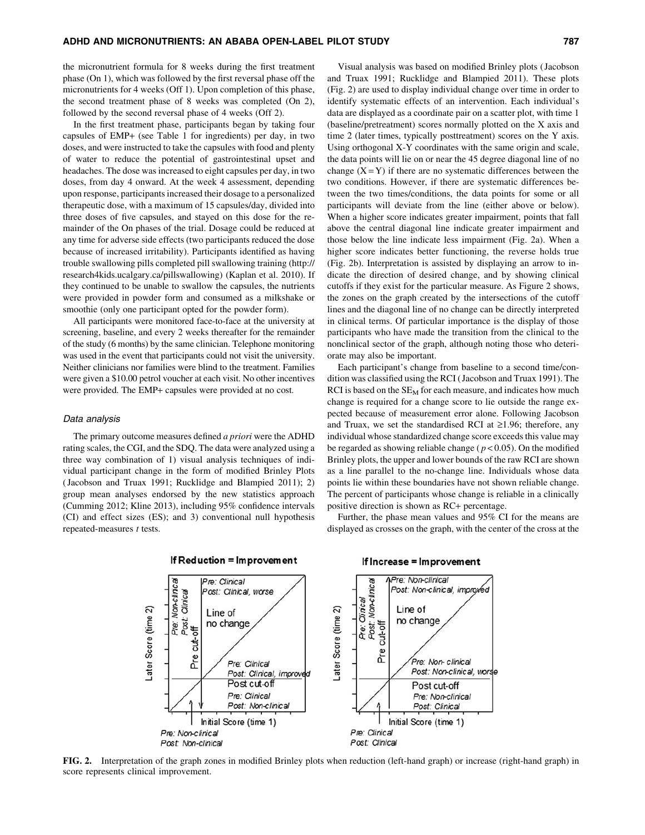the micronutrient formula for 8 weeks during the first treatment phase (On 1), which was followed by the first reversal phase off the micronutrients for 4 weeks (Off 1). Upon completion of this phase, the second treatment phase of 8 weeks was completed (On 2), followed by the second reversal phase of 4 weeks (Off 2).

In the first treatment phase, participants began by taking four capsules of EMP+ (see Table 1 for ingredients) per day, in two doses, and were instructed to take the capsules with food and plenty of water to reduce the potential of gastrointestinal upset and headaches. The dose was increased to eight capsules per day, in two doses, from day 4 onward. At the week 4 assessment, depending upon response, participants increased their dosage to a personalized therapeutic dose, with a maximum of 15 capsules/day, divided into three doses of five capsules, and stayed on this dose for the remainder of the On phases of the trial. Dosage could be reduced at any time for adverse side effects (two participants reduced the dose because of increased irritability). Participants identified as having trouble swallowing pills completed pill swallowing training (http:// research4kids.ucalgary.ca/pillswallowing) (Kaplan et al. 2010). If they continued to be unable to swallow the capsules, the nutrients were provided in powder form and consumed as a milkshake or smoothie (only one participant opted for the powder form).

All participants were monitored face-to-face at the university at screening, baseline, and every 2 weeks thereafter for the remainder of the study (6 months) by the same clinician. Telephone monitoring was used in the event that participants could not visit the university. Neither clinicians nor families were blind to the treatment. Families were given a \$10.00 petrol voucher at each visit. No other incentives were provided. The EMP+ capsules were provided at no cost.

#### Data analysis

The primary outcome measures defined a priori were the ADHD rating scales, the CGI, and the SDQ. The data were analyzed using a three way combination of 1) visual analysis techniques of individual participant change in the form of modified Brinley Plots ( Jacobson and Truax 1991; Rucklidge and Blampied 2011); 2) group mean analyses endorsed by the new statistics approach (Cumming 2012; Kline 2013), including 95% confidence intervals (CI) and effect sizes (ES); and 3) conventional null hypothesis repeated-measures  $t$  tests.

Visual analysis was based on modified Brinley plots ( Jacobson and Truax 1991; Rucklidge and Blampied 2011). These plots (Fig. 2) are used to display individual change over time in order to identify systematic effects of an intervention. Each individual's data are displayed as a coordinate pair on a scatter plot, with time 1 (baseline/pretreatment) scores normally plotted on the X axis and time 2 (later times, typically posttreatment) scores on the Y axis. Using orthogonal X-Y coordinates with the same origin and scale, the data points will lie on or near the 45 degree diagonal line of no change  $(X = Y)$  if there are no systematic differences between the two conditions. However, if there are systematic differences between the two times/conditions, the data points for some or all participants will deviate from the line (either above or below). When a higher score indicates greater impairment, points that fall above the central diagonal line indicate greater impairment and those below the line indicate less impairment (Fig. 2a). When a higher score indicates better functioning, the reverse holds true (Fig. 2b). Interpretation is assisted by displaying an arrow to indicate the direction of desired change, and by showing clinical cutoffs if they exist for the particular measure. As Figure 2 shows, the zones on the graph created by the intersections of the cutoff lines and the diagonal line of no change can be directly interpreted in clinical terms. Of particular importance is the display of those participants who have made the transition from the clinical to the nonclinical sector of the graph, although noting those who deteriorate may also be important.

Each participant's change from baseline to a second time/condition was classified using the RCI ( Jacobson and Truax 1991). The RCI is based on the  $SE_M$  for each measure, and indicates how much change is required for a change score to lie outside the range expected because of measurement error alone. Following Jacobson and Truax, we set the standardised RCI at  $\geq$ 1.96; therefore, any individual whose standardized change score exceeds this value may be regarded as showing reliable change ( $p < 0.05$ ). On the modified Brinley plots, the upper and lower bounds of the raw RCI are shown as a line parallel to the no-change line. Individuals whose data points lie within these boundaries have not shown reliable change. The percent of participants whose change is reliable in a clinically positive direction is shown as RC+ percentage.

Further, the phase mean values and 95% CI for the means are displayed as crosses on the graph, with the center of the cross at the



#### If Reduction = Improvement

If Increase = Improvement

FIG. 2. Interpretation of the graph zones in modified Brinley plots when reduction (left-hand graph) or increase (right-hand graph) in score represents clinical improvement.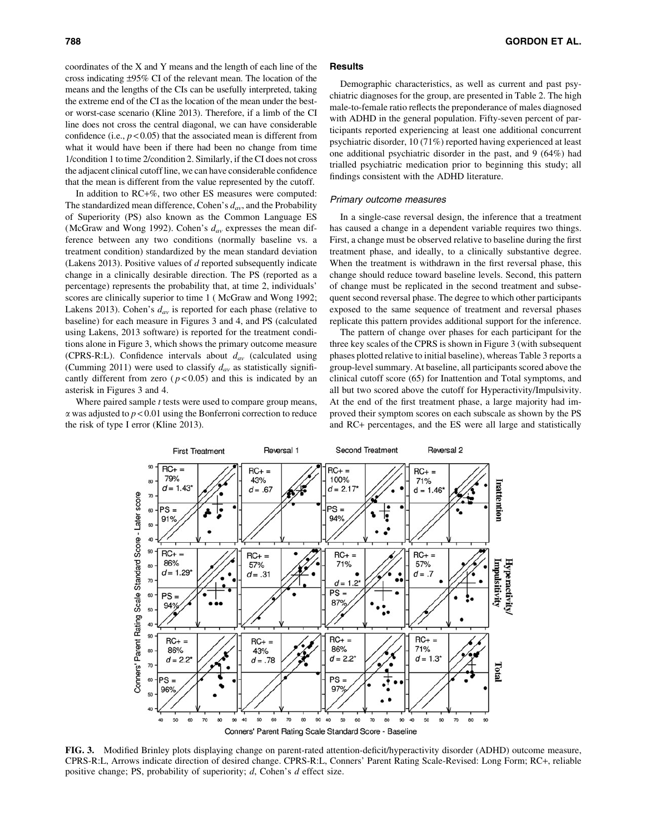coordinates of the X and Y means and the length of each line of the cross indicating –95% CI of the relevant mean. The location of the means and the lengths of the CIs can be usefully interpreted, taking the extreme end of the CI as the location of the mean under the bestor worst-case scenario (Kline 2013). Therefore, if a limb of the CI line does not cross the central diagonal, we can have considerable confidence (i.e.,  $p < 0.05$ ) that the associated mean is different from what it would have been if there had been no change from time 1/condition 1 to time 2/condition 2. Similarly, if the CI does not cross the adjacent clinical cutoff line, we can have considerable confidence that the mean is different from the value represented by the cutoff.

In addition to RC+%, two other ES measures were computed: The standardized mean difference, Cohen's  $d_{av}$ , and the Probability of Superiority (PS) also known as the Common Language ES (McGraw and Wong 1992). Cohen's  $d_{av}$  expresses the mean difference between any two conditions (normally baseline vs. a treatment condition) standardized by the mean standard deviation (Lakens 2013). Positive values of d reported subsequently indicate change in a clinically desirable direction. The PS (reported as a percentage) represents the probability that, at time 2, individuals' scores are clinically superior to time 1 ( McGraw and Wong 1992; Lakens 2013). Cohen's  $d_{av}$  is reported for each phase (relative to baseline) for each measure in Figures 3 and 4, and PS (calculated using Lakens, 2013 software) is reported for the treatment conditions alone in Figure 3, which shows the primary outcome measure (CPRS-R:L). Confidence intervals about  $d_{av}$  (calculated using (Cumming 2011) were used to classify  $d_{av}$  as statistically significantly different from zero ( $p < 0.05$ ) and this is indicated by an asterisk in Figures 3 and 4.

Where paired sample  $t$  tests were used to compare group means,  $\alpha$  was adjusted to  $p < 0.01$  using the Bonferroni correction to reduce the risk of type I error (Kline 2013).

## **Results**

Demographic characteristics, as well as current and past psychiatric diagnoses for the group, are presented in Table 2. The high male-to-female ratio reflects the preponderance of males diagnosed with ADHD in the general population. Fifty-seven percent of participants reported experiencing at least one additional concurrent psychiatric disorder, 10 (71%) reported having experienced at least one additional psychiatric disorder in the past, and 9 (64%) had trialled psychiatric medication prior to beginning this study; all findings consistent with the ADHD literature.

#### Primary outcome measures

In a single-case reversal design, the inference that a treatment has caused a change in a dependent variable requires two things. First, a change must be observed relative to baseline during the first treatment phase, and ideally, to a clinically substantive degree. When the treatment is withdrawn in the first reversal phase, this change should reduce toward baseline levels. Second, this pattern of change must be replicated in the second treatment and subsequent second reversal phase. The degree to which other participants exposed to the same sequence of treatment and reversal phases replicate this pattern provides additional support for the inference.

The pattern of change over phases for each participant for the three key scales of the CPRS is shown in Figure 3 (with subsequent phases plotted relative to initial baseline), whereas Table 3 reports a group-level summary. At baseline, all participants scored above the clinical cutoff score (65) for Inattention and Total symptoms, and all but two scored above the cutoff for Hyperactivity/Impulsivity. At the end of the first treatment phase, a large majority had improved their symptom scores on each subscale as shown by the PS and RC+ percentages, and the ES were all large and statistically



FIG. 3. Modified Brinley plots displaying change on parent-rated attention-deficit/hyperactivity disorder (ADHD) outcome measure, CPRS-R:L, Arrows indicate direction of desired change. CPRS-R:L, Conners' Parent Rating Scale-Revised: Long Form; RC+, reliable positive change; PS, probability of superiority; d, Cohen's d effect size.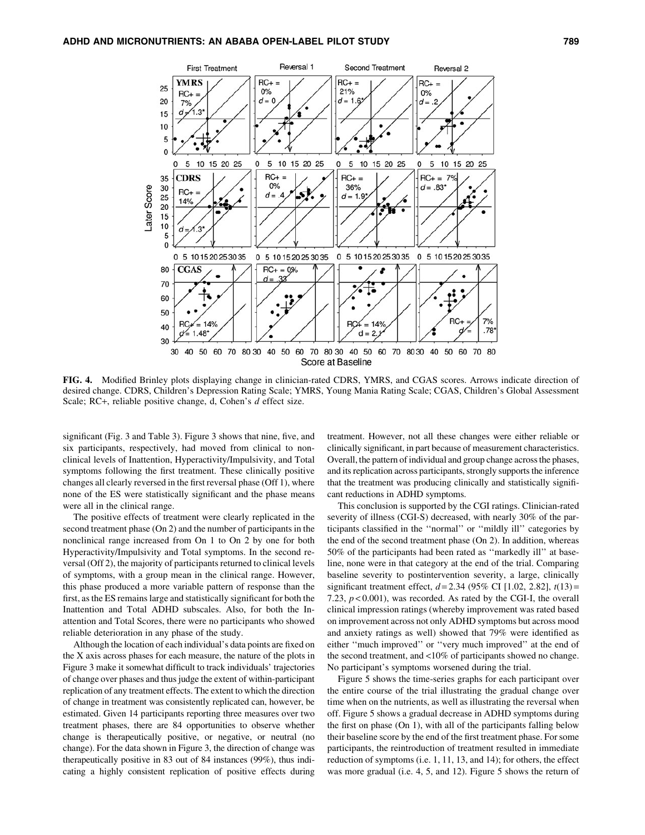

FIG. 4. Modified Brinley plots displaying change in clinician-rated CDRS, YMRS, and CGAS scores. Arrows indicate direction of desired change. CDRS, Children's Depression Rating Scale; YMRS, Young Mania Rating Scale; CGAS, Children's Global Assessment Scale; RC+, reliable positive change, d, Cohen's d effect size.

significant (Fig. 3 and Table 3). Figure 3 shows that nine, five, and six participants, respectively, had moved from clinical to nonclinical levels of Inattention, Hyperactivity/Impulsivity, and Total symptoms following the first treatment. These clinically positive changes all clearly reversed in the first reversal phase (Off 1), where none of the ES were statistically significant and the phase means were all in the clinical range.

The positive effects of treatment were clearly replicated in the second treatment phase (On 2) and the number of participants in the nonclinical range increased from On 1 to On 2 by one for both Hyperactivity/Impulsivity and Total symptoms. In the second reversal (Off 2), the majority of participants returned to clinical levels of symptoms, with a group mean in the clinical range. However, this phase produced a more variable pattern of response than the first, as the ES remains large and statistically significant for both the Inattention and Total ADHD subscales. Also, for both the Inattention and Total Scores, there were no participants who showed reliable deterioration in any phase of the study.

Although the location of each individual's data points are fixed on the X axis across phases for each measure, the nature of the plots in Figure 3 make it somewhat difficult to track individuals' trajectories of change over phases and thus judge the extent of within-participant replication of any treatment effects. The extent to which the direction of change in treatment was consistently replicated can, however, be estimated. Given 14 participants reporting three measures over two treatment phases, there are 84 opportunities to observe whether change is therapeutically positive, or negative, or neutral (no change). For the data shown in Figure 3, the direction of change was therapeutically positive in 83 out of 84 instances (99%), thus indicating a highly consistent replication of positive effects during

treatment. However, not all these changes were either reliable or clinically significant, in part because of measurement characteristics. Overall, the pattern of individual and group change across the phases, and its replication across participants, strongly supports the inference that the treatment was producing clinically and statistically significant reductions in ADHD symptoms.

This conclusion is supported by the CGI ratings. Clinician-rated severity of illness (CGI-S) decreased, with nearly 30% of the participants classified in the ''normal'' or ''mildly ill'' categories by the end of the second treatment phase (On 2). In addition, whereas 50% of the participants had been rated as ''markedly ill'' at baseline, none were in that category at the end of the trial. Comparing baseline severity to postintervention severity, a large, clinically significant treatment effect,  $d = 2.34$  (95% CI [1.02, 2.82],  $t(13) =$ 7.23,  $p < 0.001$ ), was recorded. As rated by the CGI-I, the overall clinical impression ratings (whereby improvement was rated based on improvement across not only ADHD symptoms but across mood and anxiety ratings as well) showed that 79% were identified as either ''much improved'' or ''very much improved'' at the end of the second treatment, and <10% of participants showed no change. No participant's symptoms worsened during the trial.

Figure 5 shows the time-series graphs for each participant over the entire course of the trial illustrating the gradual change over time when on the nutrients, as well as illustrating the reversal when off. Figure 5 shows a gradual decrease in ADHD symptoms during the first on phase (On 1), with all of the participants falling below their baseline score by the end of the first treatment phase. For some participants, the reintroduction of treatment resulted in immediate reduction of symptoms (i.e. 1, 11, 13, and 14); for others, the effect was more gradual (i.e. 4, 5, and 12). Figure 5 shows the return of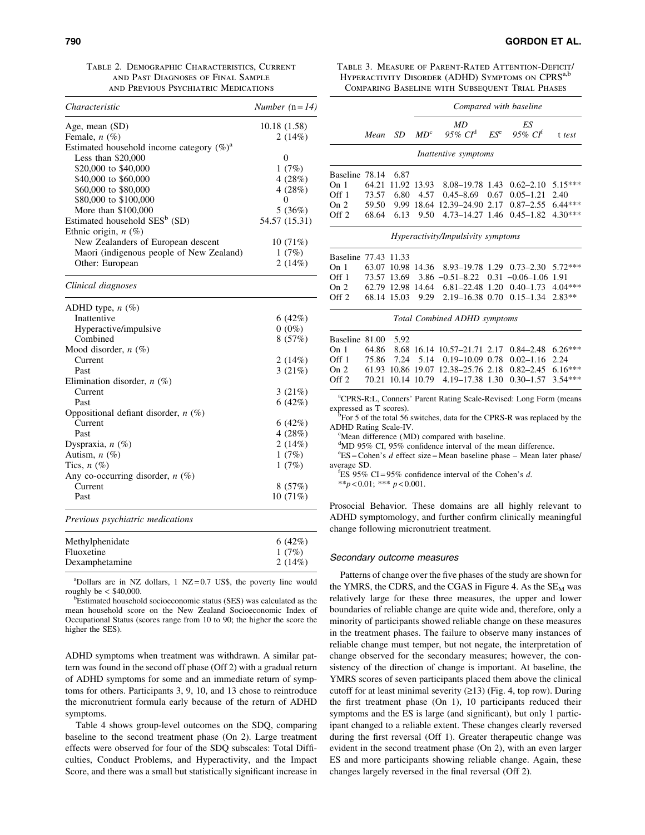| TABLE 2. DEMOGRAPHIC CHARACTERISTICS, CURRENT |
|-----------------------------------------------|
| AND PAST DIAGNOSES OF FINAL SAMPLE            |
| AND PREVIOUS PSYCHIATRIC MEDICATIONS          |

| Characteristic                               | Number $(n=14)$ |
|----------------------------------------------|-----------------|
| Age, mean (SD)                               | 10.18 (1.58)    |
| Female, $n$ (%)                              | 2(14%)          |
| Estimated household income category $(\%)^a$ |                 |
| Less than $$20,000$                          | 0               |
| \$20,000 to \$40,000                         | 1(7%)           |
| \$40,000 to \$60,000                         | 4 $(28%)$       |
| \$60,000 to \$80,000                         | 4(28%)          |
| \$80,000 to \$100,000                        | $\Omega$        |
| More than \$100,000                          | 5(36%)          |
| Estimated household SES <sup>b</sup> (SD)    | 54.57 (15.31)   |
| Ethnic origin, $n$ (%)                       |                 |
| New Zealanders of European descent           | 10(71%)         |
| Maori (indigenous people of New Zealand)     | 1(7%)           |
| Other: European                              | 2(14%)          |
| Clinical diagnoses                           |                 |
| ADHD type, $n(\%)$                           |                 |
| Inattentive                                  | 6(42%)          |
| Hyperactive/impulsive                        | $0(0\%)$        |
| Combined                                     | 8(57%)          |
| Mood disorder, $n$ (%)                       |                 |
| Current                                      | 2(14%)          |
| Past                                         | 3(21%)          |
| Elimination disorder, $n$ (%)                |                 |
| Current                                      | 3(21%)          |
| Past                                         | 6(42%)          |
| Oppositional defiant disorder, $n$ (%)       |                 |
| Current                                      | 6(42%)          |
| Past                                         | 4(28%)          |
| Dyspraxia, $n(\%)$                           | 2(14%)          |
| Autism, $n$ $(\%)$                           | 1(7%)           |
| Tics, $n(\%)$                                | 1(7%)           |
| Any co-occurring disorder, $n$ (%)           |                 |
| Current                                      | 8(57%)          |
| Past                                         | 10(71%)         |
|                                              |                 |

Previous psychiatric medications

| Methylphenidate | 6(42%)   |
|-----------------|----------|
| Fluoxetine      | 1 $(7%)$ |
| Dexamphetamine  | 2(14%)   |

 $a<sup>a</sup>$ Dollars are in NZ dollars, 1 NZ = 0.7 US\$, the poverty line would roughly be  $<$  \$40,000.

<sup>b</sup>Estimated household socioeconomic status (SES) was calculated as the mean household score on the New Zealand Socioeconomic Index of Occupational Status (scores range from 10 to 90; the higher the score the higher the SES).

ADHD symptoms when treatment was withdrawn. A similar pattern was found in the second off phase (Off 2) with a gradual return of ADHD symptoms for some and an immediate return of symptoms for others. Participants 3, 9, 10, and 13 chose to reintroduce the micronutrient formula early because of the return of ADHD symptoms.

Table 4 shows group-level outcomes on the SDQ, comparing baseline to the second treatment phase (On 2). Large treatment effects were observed for four of the SDQ subscales: Total Difficulties, Conduct Problems, and Hyperactivity, and the Impact Score, and there was a small but statistically significant increase in

| TABLE 3. MEASURE OF PARENT-RATED ATTENTION-DEFICIT/           |
|---------------------------------------------------------------|
| HYPERACTIVITY DISORDER (ADHD) SYMPTOMS ON CPRS <sup>a,b</sup> |
| COMPARING BASELINE WITH SUBSEQUENT TRIAL PHASES               |

|                              |       |           |                 |                                                                                                                                      |                 | Compared with baseline    |           |
|------------------------------|-------|-----------|-----------------|--------------------------------------------------------------------------------------------------------------------------------------|-----------------|---------------------------|-----------|
|                              | Mean  | <b>SD</b> | MD <sup>c</sup> | MD<br>$95\% \; Cld$                                                                                                                  | ES <sup>e</sup> | ES<br>95% CI <sup>f</sup> | t test    |
|                              |       |           |                 | Inattentive symptoms                                                                                                                 |                 |                           |           |
| Baseline 78.14               |       | 6.87      |                 |                                                                                                                                      |                 |                           |           |
| On 1                         | 64.21 | 11.92     | 13.93           | 8.08–19.78 1.43                                                                                                                      |                 | $0.62 - 2.10$             | 5.15***   |
| Off 1                        | 73.57 | 6.80      | 4.57            | $0.45 - 8.69$                                                                                                                        | 0.67            | $0.05 - 1.21$             | 2.40      |
| On 2                         | 59.50 |           |                 | 9.99 18.64 12.39–24.90 2.17                                                                                                          |                 | $0.87 - 2.55$             | $6.44***$ |
| Off <sub>2</sub>             | 68.64 | 6.13      | 9.50            | 4.73-14.27 1.46                                                                                                                      |                 | $0.45 - 1.82$             | $4.30***$ |
|                              |       |           |                 | Hyperactivity/Impulsivity symptoms                                                                                                   |                 |                           |           |
| Baseline 77.43 11.33         |       |           |                 |                                                                                                                                      |                 |                           |           |
| On <sub>1</sub>              | 63.07 | 10.98     | 14.36           | 8.93–19.78 1.29                                                                                                                      |                 | $0.73 - 2.30$             | 5.72***   |
| Off 1                        | 73.57 | 13.69     |                 | $3.86 - 0.51 - 8.22$                                                                                                                 | 0.31            | $-0.06 - 1.06$            | 1.91      |
| On 2                         | 62.79 | 12.98     | 14.64           | $6.81 - 22.48$ 1.20                                                                                                                  |                 | $0.40 - 1.73$             | 4.04***   |
| Off <sub>2</sub>             | 68.14 | 15.03     | 9.29            | 2.19–16.38 0.70                                                                                                                      |                 | $0.15 - 1.34$             | $2.83**$  |
|                              |       |           |                 | Total Combined ADHD symptoms                                                                                                         |                 |                           |           |
| Baseline 81.00 5.92          |       |           |                 |                                                                                                                                      |                 |                           |           |
| On <sub>1</sub>              | 64.86 |           |                 | 8.68 16.14 10.57-21.71 2.17                                                                                                          |                 | $0.84 - 2.48$             | $6.26***$ |
| Off 1                        | 75.86 | 7.24      |                 | 5.14 0.19 - 10.09 0.78                                                                                                               |                 | $0.02 - 1.16$             | 2.24      |
| On 2                         | 61.93 |           |                 | 10.86 19.07 12.38-25.76 2.18                                                                                                         |                 | $0.82 - 2.45$             | $6.16***$ |
| Off <sub>2</sub>             | 70.21 |           | 10.14 10.79     | 4.19–17.38 1.30                                                                                                                      |                 | $0.30 - 1.57$             | $3.54***$ |
|                              |       |           |                 | <sup>a</sup> CPRS-R:L, Conners' Parent Rating Scale-Revised: Long Form (means                                                        |                 |                           |           |
| expressed as T scores).      |       |           |                 | For 5 of the total 56 switches, data for the CPRS-R was replaced by the                                                              |                 |                           |           |
| <b>ADHD Rating Scale-IV.</b> |       |           |                 | <sup>c</sup> Mean difference (MD) compared with baseline.<br><sup>d</sup> MD 95% CI, 95% confidence interval of the mean difference. |                 |                           |           |

 $e$ ES = Cohen's *d* effect size = Mean baseline phase – Mean later phase/ average SD.

<sup>f</sup>ES 95% CI=95% confidence interval of the Cohen's d. \*\*p < 0.01; \*\*\* p < 0.001.

Prosocial Behavior. These domains are all highly relevant to ADHD symptomology, and further confirm clinically meaningful change following micronutrient treatment.

#### Secondary outcome measures

Patterns of change over the five phases of the study are shown for the YMRS, the CDRS, and the CGAS in Figure 4. As the  $SE_{M}$  was relatively large for these three measures, the upper and lower boundaries of reliable change are quite wide and, therefore, only a minority of participants showed reliable change on these measures in the treatment phases. The failure to observe many instances of reliable change must temper, but not negate, the interpretation of change observed for the secondary measures; however, the consistency of the direction of change is important. At baseline, the YMRS scores of seven participants placed them above the clinical cutoff for at least minimal severity  $(≥13)$  (Fig. 4, top row). During the first treatment phase (On 1), 10 participants reduced their symptoms and the ES is large (and significant), but only 1 participant changed to a reliable extent. These changes clearly reversed during the first reversal (Off 1). Greater therapeutic change was evident in the second treatment phase (On 2), with an even larger ES and more participants showing reliable change. Again, these changes largely reversed in the final reversal (Off 2).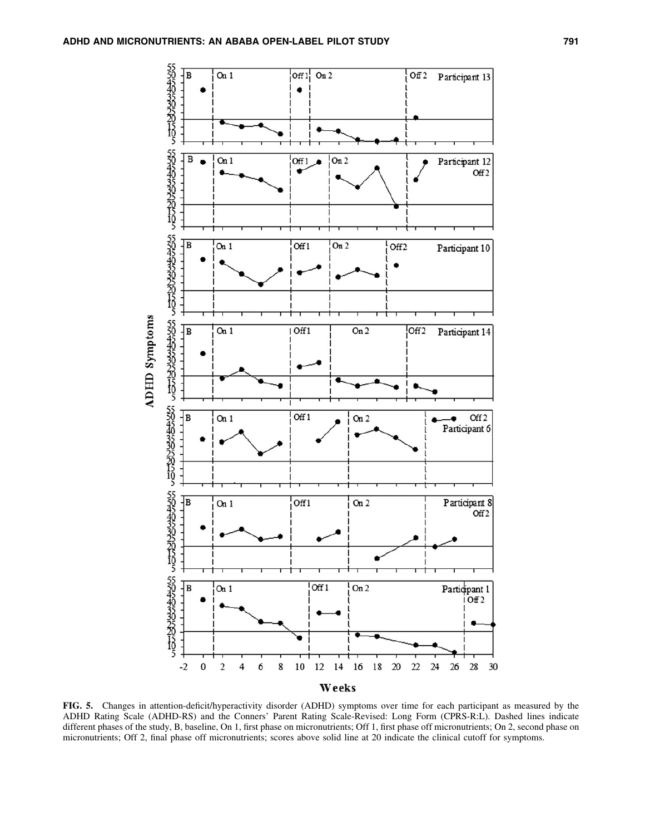

FIG. 5. Changes in attention-deficit/hyperactivity disorder (ADHD) symptoms over time for each participant as measured by the ADHD Rating Scale (ADHD-RS) and the Conners' Parent Rating Scale-Revised: Long Form (CPRS-R:L). Dashed lines indicate different phases of the study, B, baseline, On 1, first phase on micronutrients; Off 1, first phase off micronutrients; On 2, second phase on micronutrients; Off 2, final phase off micronutrients; scores above solid line at 20 indicate the clinical cutoff for symptoms.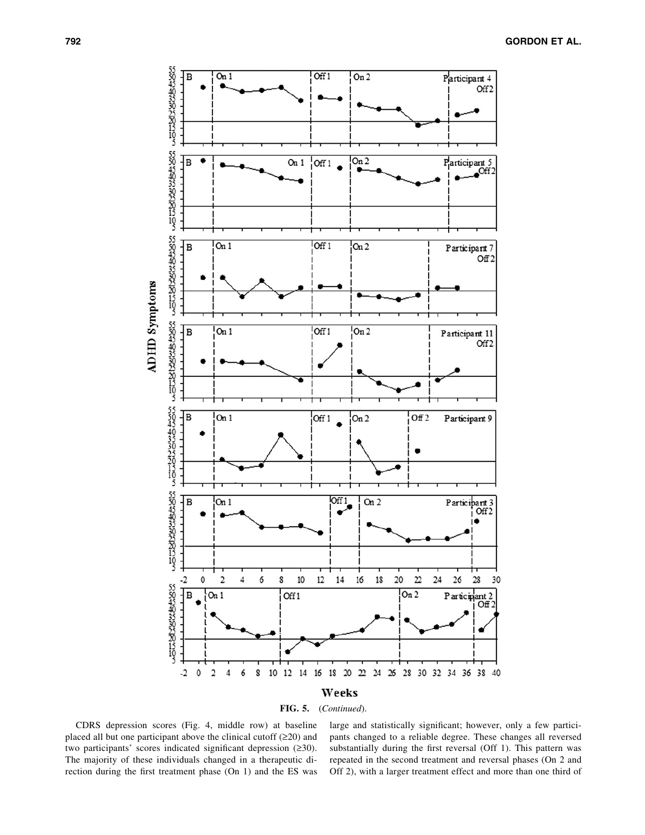



CDRS depression scores (Fig. 4, middle row) at baseline placed all but one participant above the clinical cutoff  $(\geq 20)$  and two participants' scores indicated significant depression  $(230)$ . The majority of these individuals changed in a therapeutic direction during the first treatment phase (On 1) and the ES was large and statistically significant; however, only a few participants changed to a reliable degree. These changes all reversed substantially during the first reversal (Off 1). This pattern was repeated in the second treatment and reversal phases (On 2 and Off 2), with a larger treatment effect and more than one third of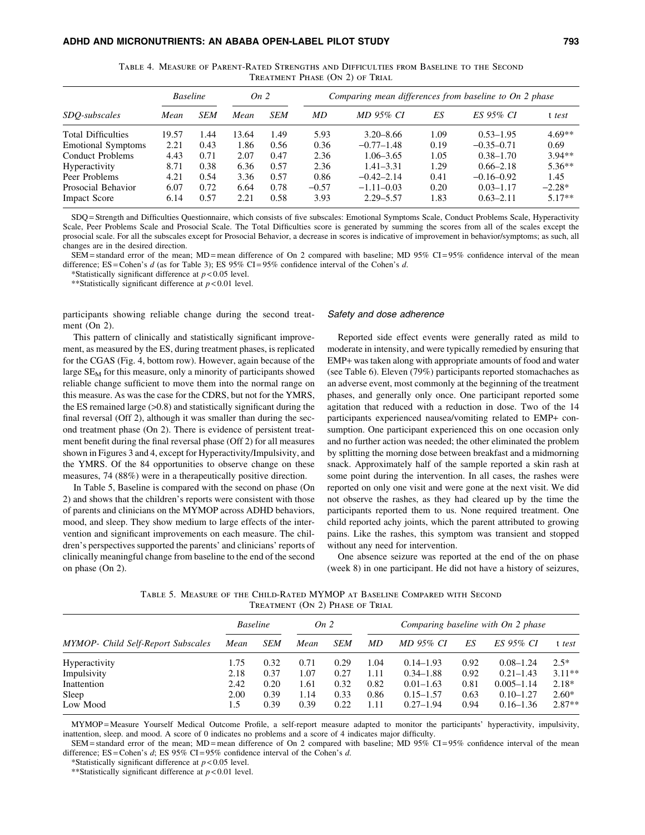| TABLE 4. MEASURE OF PARENT-RATED STRENGTHS AND DIFFICULTIES FROM BASELINE TO THE SECOND<br>TREATMENT PHASE (ON 2) OF TRIAL |                 |            |        |            |      |                                                        |      |                |          |  |
|----------------------------------------------------------------------------------------------------------------------------|-----------------|------------|--------|------------|------|--------------------------------------------------------|------|----------------|----------|--|
|                                                                                                                            | <b>Baseline</b> |            | On $2$ |            |      | Comparing mean differences from baseline to On 2 phase |      |                |          |  |
| SDO-subscales                                                                                                              | Mean            | <b>SEM</b> | Mean   | <b>SEM</b> | MD   | MD 95% CI                                              | ES   | ES 95% CI      | t test   |  |
| Total Difficulties                                                                                                         | 19.57           | 1.44       | 13.64  | 1.49       | 5.93 | $3.20 - 8.66$                                          | 1.09 | $0.53 - 1.95$  | $4.69**$ |  |
| <b>Emotional Symptoms</b>                                                                                                  | 2.21            | 0.43       | 1.86   | 0.56       | 0.36 | $-0.77-1.48$                                           | 0.19 | $-0.35-0.71$   | 0.69     |  |
| Conduct Problems                                                                                                           | 4.43            | 0.71       | 2.07   | 0.47       | 2.36 | $1.06 - 3.65$                                          | 1.05 | $0.38 - 1.70$  | $3.94**$ |  |
| Hyperactivity                                                                                                              | 8.71            | 0.38       | 6.36   | 0.57       | 2.36 | $1.41 - 3.31$                                          | 1.29 | $0.66 - 2.18$  | $5.36**$ |  |
| Peer Problems                                                                                                              | 4.21            | 0.54       | 3.36   | 0.57       | 0.86 | $-0.42 - 2.14$                                         | 0.41 | $-0.16 - 0.92$ | 1.45     |  |

SDQ = Strength and Difficulties Questionnaire, which consists of five subscales: Emotional Symptoms Scale, Conduct Problems Scale, Hyperactivity Scale, Peer Problems Scale and Prosocial Scale. The Total Difficulties score is generated by summing the scores from all of the scales except the prosocial scale. For all the subscales except for Prosocial Behavior, a decrease in scores is indicative of improvement in behavior/symptoms; as such, all changes are in the desired direction.

Prosocial Behavior 6.07 0.72 6.64 0.78 -0.57 -1.11–0.03 0.20 0.03–1.17 -2.28\* Impact Score 6.14 0.57 2.21 0.58 3.93 2.29–5.57 1.83 0.63–2.11 5.17\*\*

SEM = standard error of the mean; MD = mean difference of On 2 compared with baseline; MD 95% CI = 95% confidence interval of the mean difference; ES = Cohen's d (as for Table 3); ES  $95\%$  CI =  $95\%$  confidence interval of the Cohen's d.

\*Statistically significant difference at  $p < 0.05$  level.

\*\*Statistically significant difference at  $p < 0.01$  level.

participants showing reliable change during the second treatment (On 2).

This pattern of clinically and statistically significant improvement, as measured by the ES, during treatment phases, is replicated for the CGAS (Fig. 4, bottom row). However, again because of the large  $SE_{M}$  for this measure, only a minority of participants showed reliable change sufficient to move them into the normal range on this measure. As was the case for the CDRS, but not for the YMRS, the ES remained large  $(>0.8)$  and statistically significant during the final reversal (Off 2), although it was smaller than during the second treatment phase (On 2). There is evidence of persistent treatment benefit during the final reversal phase (Off 2) for all measures shown in Figures 3 and 4, except for Hyperactivity/Impulsivity, and the YMRS. Of the 84 opportunities to observe change on these measures, 74 (88%) were in a therapeutically positive direction.

In Table 5, Baseline is compared with the second on phase (On 2) and shows that the children's reports were consistent with those of parents and clinicians on the MYMOP across ADHD behaviors, mood, and sleep. They show medium to large effects of the intervention and significant improvements on each measure. The children's perspectives supported the parents' and clinicians' reports of clinically meaningful change from baseline to the end of the second on phase (On 2).

#### Safety and dose adherence

Reported side effect events were generally rated as mild to moderate in intensity, and were typically remedied by ensuring that EMP+ was taken along with appropriate amounts of food and water (see Table 6). Eleven (79%) participants reported stomachaches as an adverse event, most commonly at the beginning of the treatment phases, and generally only once. One participant reported some agitation that reduced with a reduction in dose. Two of the 14 participants experienced nausea/vomiting related to EMP+ consumption. One participant experienced this on one occasion only and no further action was needed; the other eliminated the problem by splitting the morning dose between breakfast and a midmorning snack. Approximately half of the sample reported a skin rash at some point during the intervention. In all cases, the rashes were reported on only one visit and were gone at the next visit. We did not observe the rashes, as they had cleared up by the time the participants reported them to us. None required treatment. One child reported achy joints, which the parent attributed to growing pains. Like the rashes, this symptom was transient and stopped without any need for intervention.

One absence seizure was reported at the end of the on phase (week 8) in one participant. He did not have a history of seizures,

Table 5. Measure of the Child-Rated MYMOP at Baseline Compared with Second Treatment (On 2) Phase of Trial

|                                    | <b>Baseline</b> |            | On 2 |            | Comparing baseline with On 2 phase |               |      |                |          |  |
|------------------------------------|-----------------|------------|------|------------|------------------------------------|---------------|------|----------------|----------|--|
| MYMOP- Child Self-Report Subscales | Mean            | <b>SEM</b> | Mean | <b>SEM</b> | MD                                 | MD 95% CI     | ES   | ES 95% CI      | t test   |  |
| <b>Hyperactivity</b>               | 1.75            | 0.32       | 0.71 | 0.29       | 1.04                               | $0.14 - 1.93$ | 0.92 | $0.08 - 1.24$  | $2.5*$   |  |
| Impulsivity                        | 2.18            | 0.37       | 1.07 | 0.27       | 1.11                               | $0.34 - 1.88$ | 0.92 | $0.21 - 1.43$  | $3.11**$ |  |
| Inattention                        | 2.42            | 0.20       | 1.61 | 0.32       | 0.82                               | $0.01 - 1.63$ | 0.81 | $0.005 - 1.14$ | $2.18*$  |  |
| Sleep                              | 2.00            | 0.39       | 1.14 | 0.33       | 0.86                               | $0.15 - 1.57$ | 0.63 | $0.10 - 1.27$  | $2.60*$  |  |
| Low Mood                           | 1.5             | 0.39       | 0.39 | 0.22       | .11                                | $0.27 - 1.94$ | 0.94 | $0.16 - 1.36$  | $2.87**$ |  |

MYMOP = Measure Yourself Medical Outcome Profile, a self-report measure adapted to monitor the participants' hyperactivity, impulsivity, inattention, sleep. and mood. A score of 0 indicates no problems and a score of 4 indicates major difficulty.

SEM = standard error of the mean; MD = mean difference of On 2 compared with baseline; MD 95% CI = 95% confidence interval of the mean difference; ES = Cohen's  $d$ ; ES 95% CI = 95% confidence interval of the Cohen's  $d$ .

\*Statistically significant difference at  $p < 0.05$  level.

\*\*Statistically significant difference at  $p < 0.01$  level.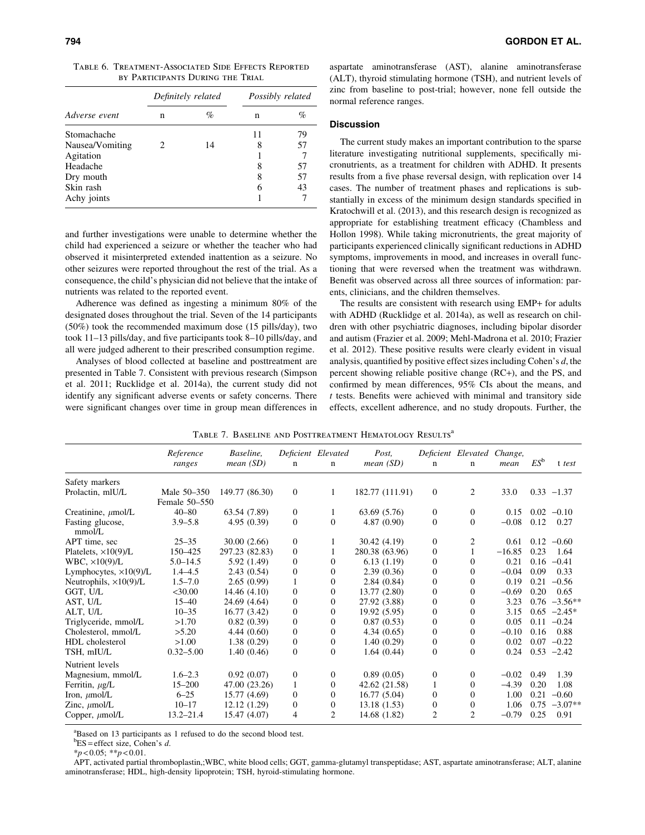Table 6. Treatment-Associated Side Effects Reported by Participants During the Trial

|                 |   | Definitely related | Possibly related |    |  |
|-----------------|---|--------------------|------------------|----|--|
| Adverse event   | n | %                  | n                | %  |  |
| Stomachache     |   |                    | 11               | 79 |  |
| Nausea/Vomiting | 2 | 14                 | 8                | 57 |  |
| Agitation       |   |                    |                  |    |  |
| Headache        |   |                    | 8                | 57 |  |
| Dry mouth       |   |                    | 8                | 57 |  |
| Skin rash       |   |                    | 6                | 43 |  |
| Achy joints     |   |                    |                  |    |  |

and further investigations were unable to determine whether the child had experienced a seizure or whether the teacher who had observed it misinterpreted extended inattention as a seizure. No other seizures were reported throughout the rest of the trial. As a consequence, the child's physician did not believe that the intake of nutrients was related to the reported event.

Adherence was defined as ingesting a minimum 80% of the designated doses throughout the trial. Seven of the 14 participants (50%) took the recommended maximum dose (15 pills/day), two took 11–13 pills/day, and five participants took 8–10 pills/day, and all were judged adherent to their prescribed consumption regime.

Analyses of blood collected at baseline and posttreatment are presented in Table 7. Consistent with previous research (Simpson et al. 2011; Rucklidge et al. 2014a), the current study did not identify any significant adverse events or safety concerns. There were significant changes over time in group mean differences in aspartate aminotransferase (AST), alanine aminotransferase (ALT), thyroid stimulating hormone (TSH), and nutrient levels of zinc from baseline to post-trial; however, none fell outside the normal reference ranges.

#### **Discussion**

The current study makes an important contribution to the sparse literature investigating nutritional supplements, specifically micronutrients, as a treatment for children with ADHD. It presents results from a five phase reversal design, with replication over 14 cases. The number of treatment phases and replications is substantially in excess of the minimum design standards specified in Kratochwill et al. (2013), and this research design is recognized as appropriate for establishing treatment efficacy (Chambless and Hollon 1998). While taking micronutrients, the great majority of participants experienced clinically significant reductions in ADHD symptoms, improvements in mood, and increases in overall functioning that were reversed when the treatment was withdrawn. Benefit was observed across all three sources of information: parents, clinicians, and the children themselves.

The results are consistent with research using EMP+ for adults with ADHD (Rucklidge et al. 2014a), as well as research on children with other psychiatric diagnoses, including bipolar disorder and autism (Frazier et al. 2009; Mehl-Madrona et al. 2010; Frazier et al. 2012). These positive results were clearly evident in visual analysis, quantified by positive effect sizes including Cohen's d, the percent showing reliable positive change (RC+), and the PS, and confirmed by mean differences, 95% CIs about the means, and  $t$  tests. Benefits were achieved with minimal and transitory side effects, excellent adherence, and no study dropouts. Further, the

|                                | Reference<br>ranges | Baseline.<br>mean(SD) | n                | Deficient Elevated<br>n | Post.<br>mean(SD) | $\mathbf n$    | Deficient Elevated<br>n | Change,<br>mean | $ES^b$ | t test         |
|--------------------------------|---------------------|-----------------------|------------------|-------------------------|-------------------|----------------|-------------------------|-----------------|--------|----------------|
| Safety markers                 |                     |                       |                  |                         |                   |                |                         |                 |        |                |
| Prolactin, mlU/L               | Male 50–350         | 149.77 (86.30)        | $\theta$         | $\mathbf{1}$            | 182.77 (111.91)   | $\mathbf{0}$   | $\overline{c}$          | 33.0            |        | $0.33 -1.37$   |
|                                | Female 50–550       |                       |                  |                         |                   |                |                         |                 |        |                |
| Creatinine, $\mu$ mol/L        | $40 - 80$           | 63.54 (7.89)          | $\boldsymbol{0}$ | 1                       | 63.69 (5.76)      | $\overline{0}$ | $\Omega$                | 0.15            | 0.02   | $-0.10$        |
| Fasting glucose,               | $3.9 - 5.8$         | 4.95(0.39)            | $\Omega$         | $\Omega$                | 4.87(0.90)        | $\Omega$       | $\Omega$                | $-0.08$         | 0.12   | 0.27           |
| mmol/L                         |                     |                       |                  |                         |                   |                |                         |                 |        |                |
| APT time, sec                  | $25 - 35$           | 30.00(2.66)           | $\mathbf{0}$     |                         | 30.42 (4.19)      | $\theta$       | 2                       | 0.61            | 0.12   | $-0.60$        |
| Platelets, $\times 10(9)/L$    | 150-425             | 297.23 (82.83)        | $\Omega$         |                         | 280.38 (63.96)    | $\Omega$       |                         | $-16.85$        | 0.23   | 1.64           |
| WBC, $\times 10(9)$ /L         | $5.0 - 14.5$        | 5.92 (1.49)           | $\mathbf{0}$     | $\theta$                | 6.13(1.19)        | $\overline{0}$ | $\Omega$                | 0.21            | 0.16   | $-0.41$        |
| Lymphocytes, $\times 10(9)$ /L | $1.4 - 4.5$         | 2.43(0.54)            | $\Omega$         | 0                       | 2.39(0.36)        | $\Omega$       | $\Omega$                | $-0.04$         | 0.09   | 0.33           |
| Neutrophils, ×10(9)/L          | $1.5 - 7.0$         | 2.65(0.99)            | 1                | $\theta$                | 2.84(0.84)        | $\Omega$       | $\Omega$                | 0.19            | 0.21   | $-0.56$        |
| GGT, U/L                       | $<$ 30.00           | 14.46(4.10)           | $\mathbf{0}$     | $\mathbf{0}$            | 13.77(2.80)       | $\overline{0}$ | $\Omega$                | $-0.69$         | 0.20   | 0.65           |
| AST, U/L                       | $15 - 40$           | 24.69 (4.64)          | $\Omega$         | 0                       | 27.92 (3.88)      | $\Omega$       | $\Omega$                | 3.23            |        | $0.76 -3.56**$ |
| ALT, U/L                       | $10 - 35$           | 16.77(3.42)           | $\Omega$         | 0                       | 19.92 (5.95)      | $\Omega$       | $\Omega$                | 3.15            |        | $0.65 -2.45*$  |
| Triglyceride, mmol/L           | >1.70               | 0.82(0.39)            | $\mathbf{0}$     | $\bf{0}$                | 0.87(0.53)        | $\mathbf{0}$   | $\Omega$                | 0.05            | 0.11   | $-0.24$        |
| Cholesterol, mmol/L            | >5.20               | 4.44(0.60)            | $\Omega$         | $\Omega$                | 4.34(0.65)        | $\Omega$       | $\Omega$                | $-0.10$         | 0.16   | 0.88           |
| HDL cholesterol                | >1.00               | 1.38(0.29)            | $\Omega$         | $\Omega$                | 1.40(0.29)        | $\overline{0}$ | $\Omega$                | 0.02            | 0.07   | $-0.22$        |
| TSH, mIU/L                     | $0.32 - 5.00$       | 1.40(0.46)            | $\overline{0}$   | $\mathbf{0}$            | 1.64(0.44)        | $\theta$       | $\Omega$                | 0.24            |        | $0.53 -2.42$   |
| Nutrient levels                |                     |                       |                  |                         |                   |                |                         |                 |        |                |
| Magnesium, mmol/L              | $1.6 - 2.3$         | 0.92(0.07)            | $\mathbf{0}$     | $\overline{0}$          | 0.89(0.05)        | $\theta$       | $\Omega$                | $-0.02$         | 0.49   | 1.39           |
| Ferritin, $\mu$ g/L            | $15 - 200$          | 47.00 (23.26)         | 1                | $\mathbf{0}$            | 42.62 (21.58)     |                | $\Omega$                | $-4.39$         | 0.20   | 1.08           |
| Iron, $\mu$ mol/L              | $6 - 25$            | 15.77 (4.69)          | $\Omega$         | 0                       | 16.77(5.04)       | $\Omega$       | $\Omega$                | 1.00            | 0.21   | $-0.60$        |
| Zinc, $\mu$ mol/L              | $10 - 17$           | 12.12 (1.29)          | $\Omega$         | 0                       | 13.18(1.53)       | $\mathbf{0}$   | $\Omega$                | 1.06            | 0.75   | $-3.07**$      |
| Copper, $\mu$ mol/L            | $13.2 - 21.4$       | 15.47 (4.07)          | 4                | 2                       | 14.68 (1.82)      | $\overline{2}$ | $\mathfrak{D}$          | $-0.79$         | 0.25   | 0.91           |

TABLE 7. BASELINE AND POSTTREATMENT HEMATOLOGY RESULTS<sup>a</sup>

<sup>a</sup>Based on 13 participants as 1 refused to do the second blood test.

 $bES =$  effect size, Cohen's d.

 $*_{p < 0.05;}$   $*_{p < 0.01.}$ 

APT, activated partial thromboplastin,;WBC, white blood cells; GGT, gamma-glutamyl transpeptidase; AST, aspartate aminotransferase; ALT, alanine aminotransferase; HDL, high-density lipoprotein; TSH, hyroid-stimulating hormone.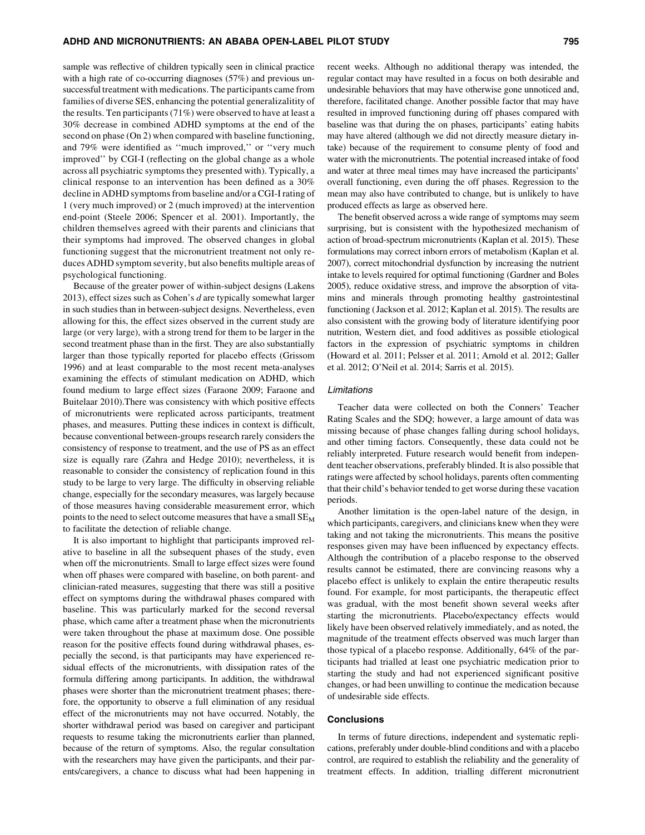sample was reflective of children typically seen in clinical practice with a high rate of co-occurring diagnoses (57%) and previous unsuccessful treatment with medications. The participants came from families of diverse SES, enhancing the potential generalizalitity of the results. Ten participants (71%) were observed to have at least a 30% decrease in combined ADHD symptoms at the end of the second on phase (On 2) when compared with baseline functioning, and 79% were identified as ''much improved,'' or ''very much improved'' by CGI-I (reflecting on the global change as a whole across all psychiatric symptoms they presented with). Typically, a clinical response to an intervention has been defined as a 30% decline in ADHD symptoms from baseline and/or a CGI-I rating of 1 (very much improved) or 2 (much improved) at the intervention end-point (Steele 2006; Spencer et al. 2001). Importantly, the children themselves agreed with their parents and clinicians that their symptoms had improved. The observed changes in global functioning suggest that the micronutrient treatment not only reduces ADHD symptom severity, but also benefits multiple areas of psychological functioning.

Because of the greater power of within-subject designs (Lakens 2013), effect sizes such as Cohen's  $d$  are typically somewhat larger in such studies than in between-subject designs. Nevertheless, even allowing for this, the effect sizes observed in the current study are large (or very large), with a strong trend for them to be larger in the second treatment phase than in the first. They are also substantially larger than those typically reported for placebo effects (Grissom 1996) and at least comparable to the most recent meta-analyses examining the effects of stimulant medication on ADHD, which found medium to large effect sizes (Faraone 2009; Faraone and Buitelaar 2010).There was consistency with which positive effects of micronutrients were replicated across participants, treatment phases, and measures. Putting these indices in context is difficult, because conventional between-groups research rarely considers the consistency of response to treatment, and the use of PS as an effect size is equally rare (Zahra and Hedge 2010); nevertheless, it is reasonable to consider the consistency of replication found in this study to be large to very large. The difficulty in observing reliable change, especially for the secondary measures, was largely because of those measures having considerable measurement error, which points to the need to select outcome measures that have a small  $SE<sub>M</sub>$ to facilitate the detection of reliable change.

It is also important to highlight that participants improved relative to baseline in all the subsequent phases of the study, even when off the micronutrients. Small to large effect sizes were found when off phases were compared with baseline, on both parent- and clinician-rated measures, suggesting that there was still a positive effect on symptoms during the withdrawal phases compared with baseline. This was particularly marked for the second reversal phase, which came after a treatment phase when the micronutrients were taken throughout the phase at maximum dose. One possible reason for the positive effects found during withdrawal phases, especially the second, is that participants may have experienced residual effects of the micronutrients, with dissipation rates of the formula differing among participants. In addition, the withdrawal phases were shorter than the micronutrient treatment phases; therefore, the opportunity to observe a full elimination of any residual effect of the micronutrients may not have occurred. Notably, the shorter withdrawal period was based on caregiver and participant requests to resume taking the micronutrients earlier than planned, because of the return of symptoms. Also, the regular consultation with the researchers may have given the participants, and their parents/caregivers, a chance to discuss what had been happening in

recent weeks. Although no additional therapy was intended, the regular contact may have resulted in a focus on both desirable and undesirable behaviors that may have otherwise gone unnoticed and, therefore, facilitated change. Another possible factor that may have resulted in improved functioning during off phases compared with baseline was that during the on phases, participants' eating habits may have altered (although we did not directly measure dietary intake) because of the requirement to consume plenty of food and water with the micronutrients. The potential increased intake of food and water at three meal times may have increased the participants' overall functioning, even during the off phases. Regression to the mean may also have contributed to change, but is unlikely to have produced effects as large as observed here.

The benefit observed across a wide range of symptoms may seem surprising, but is consistent with the hypothesized mechanism of action of broad-spectrum micronutrients (Kaplan et al. 2015). These formulations may correct inborn errors of metabolism (Kaplan et al. 2007), correct mitochondrial dysfunction by increasing the nutrient intake to levels required for optimal functioning (Gardner and Boles 2005), reduce oxidative stress, and improve the absorption of vitamins and minerals through promoting healthy gastrointestinal functioning ( Jackson et al. 2012; Kaplan et al. 2015). The results are also consistent with the growing body of literature identifying poor nutrition, Western diet, and food additives as possible etiological factors in the expression of psychiatric symptoms in children (Howard et al. 2011; Pelsser et al. 2011; Arnold et al. 2012; Galler et al. 2012; O'Neil et al. 2014; Sarris et al. 2015).

#### Limitations

Teacher data were collected on both the Conners' Teacher Rating Scales and the SDQ; however, a large amount of data was missing because of phase changes falling during school holidays, and other timing factors. Consequently, these data could not be reliably interpreted. Future research would benefit from independent teacher observations, preferably blinded. It is also possible that ratings were affected by school holidays, parents often commenting that their child's behavior tended to get worse during these vacation periods.

Another limitation is the open-label nature of the design, in which participants, caregivers, and clinicians knew when they were taking and not taking the micronutrients. This means the positive responses given may have been influenced by expectancy effects. Although the contribution of a placebo response to the observed results cannot be estimated, there are convincing reasons why a placebo effect is unlikely to explain the entire therapeutic results found. For example, for most participants, the therapeutic effect was gradual, with the most benefit shown several weeks after starting the micronutrients. Placebo/expectancy effects would likely have been observed relatively immediately, and as noted, the magnitude of the treatment effects observed was much larger than those typical of a placebo response. Additionally, 64% of the participants had trialled at least one psychiatric medication prior to starting the study and had not experienced significant positive changes, or had been unwilling to continue the medication because of undesirable side effects.

#### **Conclusions**

In terms of future directions, independent and systematic replications, preferably under double-blind conditions and with a placebo control, are required to establish the reliability and the generality of treatment effects. In addition, trialling different micronutrient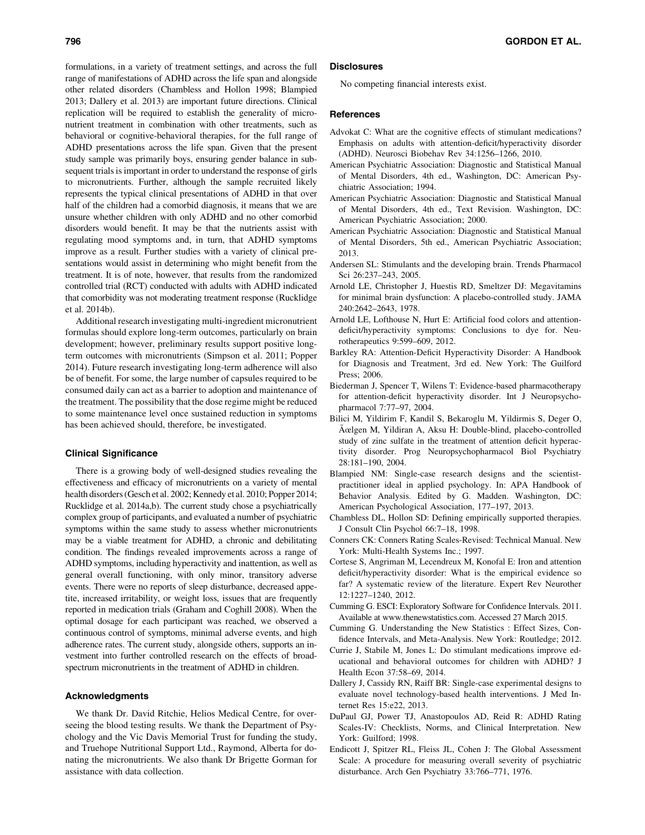formulations, in a variety of treatment settings, and across the full range of manifestations of ADHD across the life span and alongside other related disorders (Chambless and Hollon 1998; Blampied 2013; Dallery et al. 2013) are important future directions. Clinical replication will be required to establish the generality of micronutrient treatment in combination with other treatments, such as behavioral or cognitive-behavioral therapies, for the full range of ADHD presentations across the life span. Given that the present study sample was primarily boys, ensuring gender balance in subsequent trials is important in order to understand the response of girls to micronutrients. Further, although the sample recruited likely represents the typical clinical presentations of ADHD in that over half of the children had a comorbid diagnosis, it means that we are unsure whether children with only ADHD and no other comorbid disorders would benefit. It may be that the nutrients assist with regulating mood symptoms and, in turn, that ADHD symptoms improve as a result. Further studies with a variety of clinical presentations would assist in determining who might benefit from the treatment. It is of note, however, that results from the randomized controlled trial (RCT) conducted with adults with ADHD indicated that comorbidity was not moderating treatment response (Rucklidge et al. 2014b).

Additional research investigating multi-ingredient micronutrient formulas should explore long-term outcomes, particularly on brain development; however, preliminary results support positive longterm outcomes with micronutrients (Simpson et al. 2011; Popper 2014). Future research investigating long-term adherence will also be of benefit. For some, the large number of capsules required to be consumed daily can act as a barrier to adoption and maintenance of the treatment. The possibility that the dose regime might be reduced to some maintenance level once sustained reduction in symptoms has been achieved should, therefore, be investigated.

## Clinical Significance

There is a growing body of well-designed studies revealing the effectiveness and efficacy of micronutrients on a variety of mental health disorders (Gesch et al. 2002; Kennedy et al. 2010; Popper 2014; Rucklidge et al. 2014a,b). The current study chose a psychiatrically complex group of participants, and evaluated a number of psychiatric symptoms within the same study to assess whether micronutrients may be a viable treatment for ADHD, a chronic and debilitating condition. The findings revealed improvements across a range of ADHD symptoms, including hyperactivity and inattention, as well as general overall functioning, with only minor, transitory adverse events. There were no reports of sleep disturbance, decreased appetite, increased irritability, or weight loss, issues that are frequently reported in medication trials (Graham and Coghill 2008). When the optimal dosage for each participant was reached, we observed a continuous control of symptoms, minimal adverse events, and high adherence rates. The current study, alongside others, supports an investment into further controlled research on the effects of broadspectrum micronutrients in the treatment of ADHD in children.

## Acknowledgments

We thank Dr. David Ritchie, Helios Medical Centre, for overseeing the blood testing results. We thank the Department of Psychology and the Vic Davis Memorial Trust for funding the study, and Truehope Nutritional Support Ltd., Raymond, Alberta for donating the micronutrients. We also thank Dr Brigette Gorman for assistance with data collection.

## **Disclosures**

No competing financial interests exist.

#### References

- Advokat C: What are the cognitive effects of stimulant medications? Emphasis on adults with attention-deficit/hyperactivity disorder (ADHD). Neurosci Biobehav Rev 34:1256–1266, 2010.
- American Psychiatric Association: Diagnostic and Statistical Manual of Mental Disorders, 4th ed., Washington, DC: American Psychiatric Association; 1994.
- American Psychiatric Association: Diagnostic and Statistical Manual of Mental Disorders, 4th ed., Text Revision. Washington, DC: American Psychiatric Association; 2000.
- American Psychiatric Association: Diagnostic and Statistical Manual of Mental Disorders, 5th ed., American Psychiatric Association; 2013.
- Andersen SL: Stimulants and the developing brain. Trends Pharmacol Sci 26:237–243, 2005.
- Arnold LE, Christopher J, Huestis RD, Smeltzer DJ: Megavitamins for minimal brain dysfunction: A placebo-controlled study. JAMA 240:2642–2643, 1978.
- Arnold LE, Lofthouse N, Hurt E: Artificial food colors and attentiondeficit/hyperactivity symptoms: Conclusions to dye for. Neurotherapeutics 9:599–609, 2012.
- Barkley RA: Attention-Deficit Hyperactivity Disorder: A Handbook for Diagnosis and Treatment, 3rd ed. New York: The Guilford Press; 2006.
- Biederman J, Spencer T, Wilens T: Evidence-based pharmacotherapy for attention-deficit hyperactivity disorder. Int J Neuropsychopharmacol 7:77–97, 2004.
- Bilici M, Yildirim F, Kandil S, Bekaroglu M, Yildirmis S, Deger O, A˜ œlgen M, Yildiran A, Aksu H: Double-blind, placebo-controlled study of zinc sulfate in the treatment of attention deficit hyperactivity disorder. Prog Neuropsychopharmacol Biol Psychiatry 28:181–190, 2004.
- Blampied NM: Single-case research designs and the scientistpractitioner ideal in applied psychology. In: APA Handbook of Behavior Analysis. Edited by G. Madden. Washington, DC: American Psychological Association, 177–197, 2013.
- Chambless DL, Hollon SD: Defining empirically supported therapies. J Consult Clin Psychol 66:7–18, 1998.
- Conners CK: Conners Rating Scales-Revised: Technical Manual. New York: Multi-Health Systems Inc.; 1997.
- Cortese S, Angriman M, Lecendreux M, Konofal E: Iron and attention deficit/hyperactivity disorder: What is the empirical evidence so far? A systematic review of the literature. Expert Rev Neurother 12:1227–1240, 2012.
- Cumming G. ESCI: Exploratory Software for Confidence Intervals. 2011. Available at www.thenewstatistics.com. Accessed 27 March 2015.
- Cumming G. Understanding the New Statistics : Effect Sizes, Confidence Intervals, and Meta-Analysis. New York: Routledge; 2012.
- Currie J, Stabile M, Jones L: Do stimulant medications improve educational and behavioral outcomes for children with ADHD? J Health Econ 37:58–69, 2014.
- Dallery J, Cassidy RN, Raiff BR: Single-case experimental designs to evaluate novel technology-based health interventions. J Med Internet Res 15:e22, 2013.
- DuPaul GJ, Power TJ, Anastopoulos AD, Reid R: ADHD Rating Scales-IV: Checklists, Norms, and Clinical Interpretation. New York: Guilford; 1998.
- Endicott J, Spitzer RL, Fleiss JL, Cohen J: The Global Assessment Scale: A procedure for measuring overall severity of psychiatric disturbance. Arch Gen Psychiatry 33:766–771, 1976.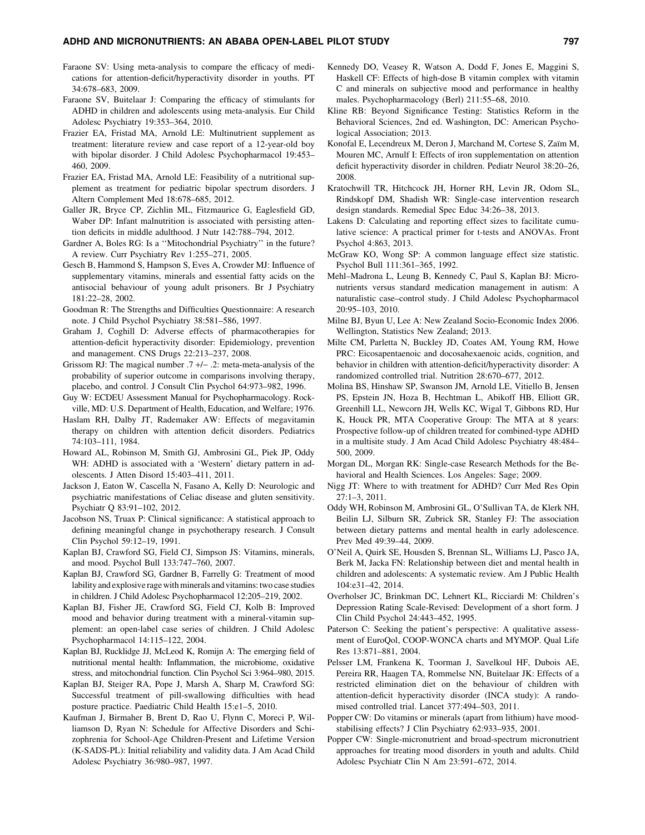- Faraone SV: Using meta-analysis to compare the efficacy of medications for attention-deficit/hyperactivity disorder in youths. PT 34:678–683, 2009.
- Faraone SV, Buitelaar J: Comparing the efficacy of stimulants for ADHD in children and adolescents using meta-analysis. Eur Child Adolesc Psychiatry 19:353–364, 2010.
- Frazier EA, Fristad MA, Arnold LE: Multinutrient supplement as treatment: literature review and case report of a 12-year-old boy with bipolar disorder. J Child Adolesc Psychopharmacol 19:453– 460, 2009.
- Frazier EA, Fristad MA, Arnold LE: Feasibility of a nutritional supplement as treatment for pediatric bipolar spectrum disorders. J Altern Complement Med 18:678–685, 2012.
- Galler JR, Bryce CP, Zichlin ML, Fitzmaurice G, Eaglesfield GD, Waber DP: Infant malnutrition is associated with persisting attention deficits in middle adulthood. J Nutr 142:788–794, 2012.
- Gardner A, Boles RG: Is a ''Mitochondrial Psychiatry'' in the future? A review. Curr Psychiatry Rev 1:255–271, 2005.
- Gesch B, Hammond S, Hampson S, Eves A, Crowder MJ: Influence of supplementary vitamins, minerals and essential fatty acids on the antisocial behaviour of young adult prisoners. Br J Psychiatry 181:22–28, 2002.
- Goodman R: The Strengths and Difficulties Questionnaire: A research note. J Child Psychol Psychiatry 38:581–586, 1997.
- Graham J, Coghill D: Adverse effects of pharmacotherapies for attention-deficit hyperactivity disorder: Epidemiology, prevention and management. CNS Drugs 22:213–237, 2008.
- Grissom RJ: The magical number  $.7 +/- .2$ : meta-meta-analysis of the probability of superior outcome in comparisons involving therapy, placebo, and control. J Consult Clin Psychol 64:973–982, 1996.
- Guy W: ECDEU Assessment Manual for Psychopharmacology. Rockville, MD: U.S. Department of Health, Education, and Welfare; 1976.
- Haslam RH, Dalby JT, Rademaker AW: Effects of megavitamin therapy on children with attention deficit disorders. Pediatrics 74:103–111, 1984.
- Howard AL, Robinson M, Smith GJ, Ambrosini GL, Piek JP, Oddy WH: ADHD is associated with a 'Western' dietary pattern in adolescents. J Atten Disord 15:403–411, 2011.
- Jackson J, Eaton W, Cascella N, Fasano A, Kelly D: Neurologic and psychiatric manifestations of Celiac disease and gluten sensitivity. Psychiatr Q 83:91–102, 2012.
- Jacobson NS, Truax P: Clinical significance: A statistical approach to defining meaningful change in psychotherapy research. J Consult Clin Psychol 59:12–19, 1991.
- Kaplan BJ, Crawford SG, Field CJ, Simpson JS: Vitamins, minerals, and mood. Psychol Bull 133:747–760, 2007.
- Kaplan BJ, Crawford SG, Gardner B, Farrelly G: Treatment of mood lability and explosive rage with minerals and vitamins: two case studies in children. J Child Adolesc Psychopharmacol 12:205–219, 2002.
- Kaplan BJ, Fisher JE, Crawford SG, Field CJ, Kolb B: Improved mood and behavior during treatment with a mineral-vitamin supplement: an open-label case series of children. J Child Adolesc Psychopharmacol 14:115–122, 2004.
- Kaplan BJ, Rucklidge JJ, McLeod K, Romijn A: The emerging field of nutritional mental health: Inflammation, the microbiome, oxidative stress, and mitochondrial function. Clin Psychol Sci 3:964–980, 2015.
- Kaplan BJ, Steiger RA, Pope J, Marsh A, Sharp M, Crawford SG: Successful treatment of pill-swallowing difficulties with head posture practice. Paediatric Child Health 15:e1–5, 2010.
- Kaufman J, Birmaher B, Brent D, Rao U, Flynn C, Moreci P, Williamson D, Ryan N: Schedule for Affective Disorders and Schizophrenia for School-Age Children-Present and Lifetime Version (K-SADS-PL): Initial reliability and validity data. J Am Acad Child Adolesc Psychiatry 36:980–987, 1997.
- Kennedy DO, Veasey R, Watson A, Dodd F, Jones E, Maggini S, Haskell CF: Effects of high-dose B vitamin complex with vitamin C and minerals on subjective mood and performance in healthy males. Psychopharmacology (Berl) 211:55–68, 2010.
- Kline RB: Beyond Significance Testing: Statistics Reform in the Behavioral Sciences, 2nd ed. Washington, DC: American Psychological Association; 2013.
- Konofal E, Lecendreux M, Deron J, Marchand M, Cortese S, Zaïm M, Mouren MC, Arnulf I: Effects of iron supplementation on attention deficit hyperactivity disorder in children. Pediatr Neurol 38:20–26, 2008.
- Kratochwill TR, Hitchcock JH, Horner RH, Levin JR, Odom SL, Rindskopf DM, Shadish WR: Single-case intervention research design standards. Remedial Spec Educ 34:26–38, 2013.
- Lakens D: Calculating and reporting effect sizes to facilitate cumulative science: A practical primer for t-tests and ANOVAs. Front Psychol 4:863, 2013.
- McGraw KO, Wong SP: A common language effect size statistic. Psychol Bull 111:361–365, 1992.
- Mehl–Madrona L, Leung B, Kennedy C, Paul S, Kaplan BJ: Micronutrients versus standard medication management in autism: A naturalistic case–control study. J Child Adolesc Psychopharmacol 20:95–103, 2010.
- Milne BJ, Byun U, Lee A: New Zealand Socio-Economic Index 2006. Wellington, Statistics New Zealand; 2013.
- Milte CM, Parletta N, Buckley JD, Coates AM, Young RM, Howe PRC: Eicosapentaenoic and docosahexaenoic acids, cognition, and behavior in children with attention-deficit/hyperactivity disorder: A randomized controlled trial. Nutrition 28:670–677, 2012.
- Molina BS, Hinshaw SP, Swanson JM, Arnold LE, Vitiello B, Jensen PS, Epstein JN, Hoza B, Hechtman L, Abikoff HB, Elliott GR, Greenhill LL, Newcorn JH, Wells KC, Wigal T, Gibbons RD, Hur K, Houck PR, MTA Cooperative Group: The MTA at 8 years: Prospective follow-up of children treated for combined-type ADHD in a multisite study. J Am Acad Child Adolesc Psychiatry 48:484– 500, 2009.
- Morgan DL, Morgan RK: Single-case Research Methods for the Behavioral and Health Sciences. Los Angeles: Sage; 2009.
- Nigg JT: Where to with treatment for ADHD? Curr Med Res Opin 27:1–3, 2011.
- Oddy WH, Robinson M, Ambrosini GL, O'Sullivan TA, de Klerk NH, Beilin LJ, Silburn SR, Zubrick SR, Stanley FJ: The association between dietary patterns and mental health in early adolescence. Prev Med 49:39–44, 2009.
- O'Neil A, Quirk SE, Housden S, Brennan SL, Williams LJ, Pasco JA, Berk M, Jacka FN: Relationship between diet and mental health in children and adolescents: A systematic review. Am J Public Health 104:e31–42, 2014.
- Overholser JC, Brinkman DC, Lehnert KL, Ricciardi M: Children's Depression Rating Scale-Revised: Development of a short form. J Clin Child Psychol 24:443–452, 1995.
- Paterson C: Seeking the patient's perspective: A qualitative assessment of EuroQol, COOP-WONCA charts and MYMOP. Qual Life Res 13:871–881, 2004.
- Pelsser LM, Frankena K, Toorman J, Savelkoul HF, Dubois AE, Pereira RR, Haagen TA, Rommelse NN, Buitelaar JK: Effects of a restricted elimination diet on the behaviour of children with attention-deficit hyperactivity disorder (INCA study): A randomised controlled trial. Lancet 377:494–503, 2011.
- Popper CW: Do vitamins or minerals (apart from lithium) have moodstabilising effects? J Clin Psychiatry 62:933–935, 2001.
- Popper CW: Single-micronutrient and broad-spectrum micronutrient approaches for treating mood disorders in youth and adults. Child Adolesc Psychiatr Clin N Am 23:591–672, 2014.